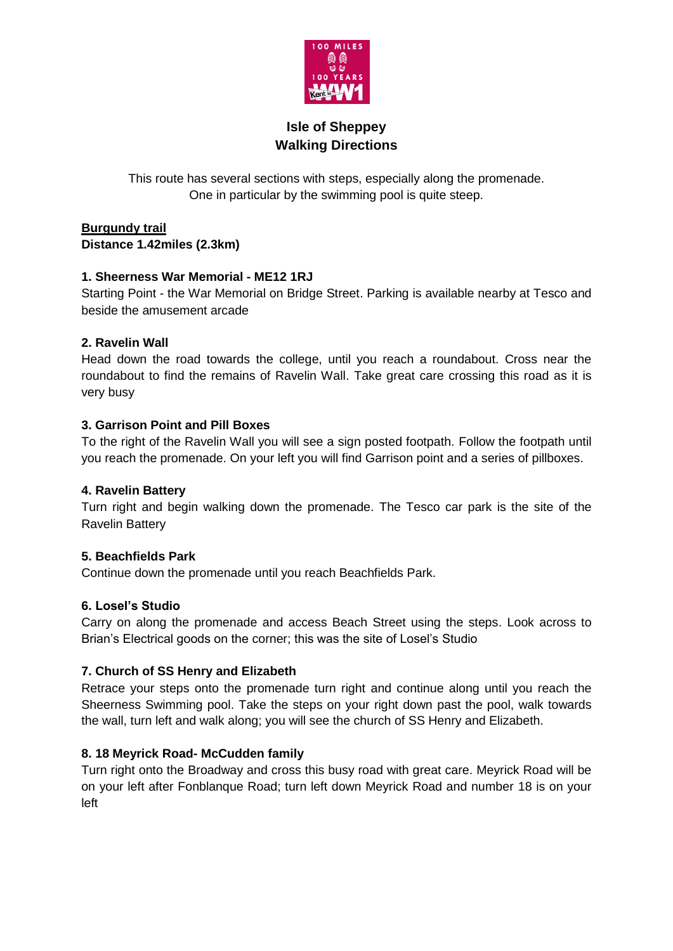

# **Isle of Sheppey Walking Directions**

This route has several sections with steps, especially along the promenade. One in particular by the swimming pool is quite steep.

**Burgundy trail Distance 1.42miles (2.3km)**

### **1. Sheerness War Memorial - ME12 1RJ**

Starting Point - the War Memorial on Bridge Street. Parking is available nearby at Tesco and beside the amusement arcade

## **2. Ravelin Wall**

Head down the road towards the college, until you reach a roundabout. Cross near the roundabout to find the remains of Ravelin Wall. Take great care crossing this road as it is very busy

## **3. Garrison Point and Pill Boxes**

To the right of the Ravelin Wall you will see a sign posted footpath. Follow the footpath until you reach the promenade. On your left you will find Garrison point and a series of pillboxes.

### **4. Ravelin Battery**

Turn right and begin walking down the promenade. The Tesco car park is the site of the Ravelin Battery

### **5. Beachfields Park**

Continue down the promenade until you reach Beachfields Park.

### **6. Losel's Studio**

Carry on along the promenade and access Beach Street using the steps. Look across to Brian's Electrical goods on the corner; this was the site of Losel's Studio

### **7. Church of SS Henry and Elizabeth**

Retrace your steps onto the promenade turn right and continue along until you reach the Sheerness Swimming pool. Take the steps on your right down past the pool, walk towards the wall, turn left and walk along; you will see the church of SS Henry and Elizabeth.

### **8. 18 Meyrick Road- McCudden family**

Turn right onto the Broadway and cross this busy road with great care. Meyrick Road will be on your left after Fonblanque Road; turn left down Meyrick Road and number 18 is on your left